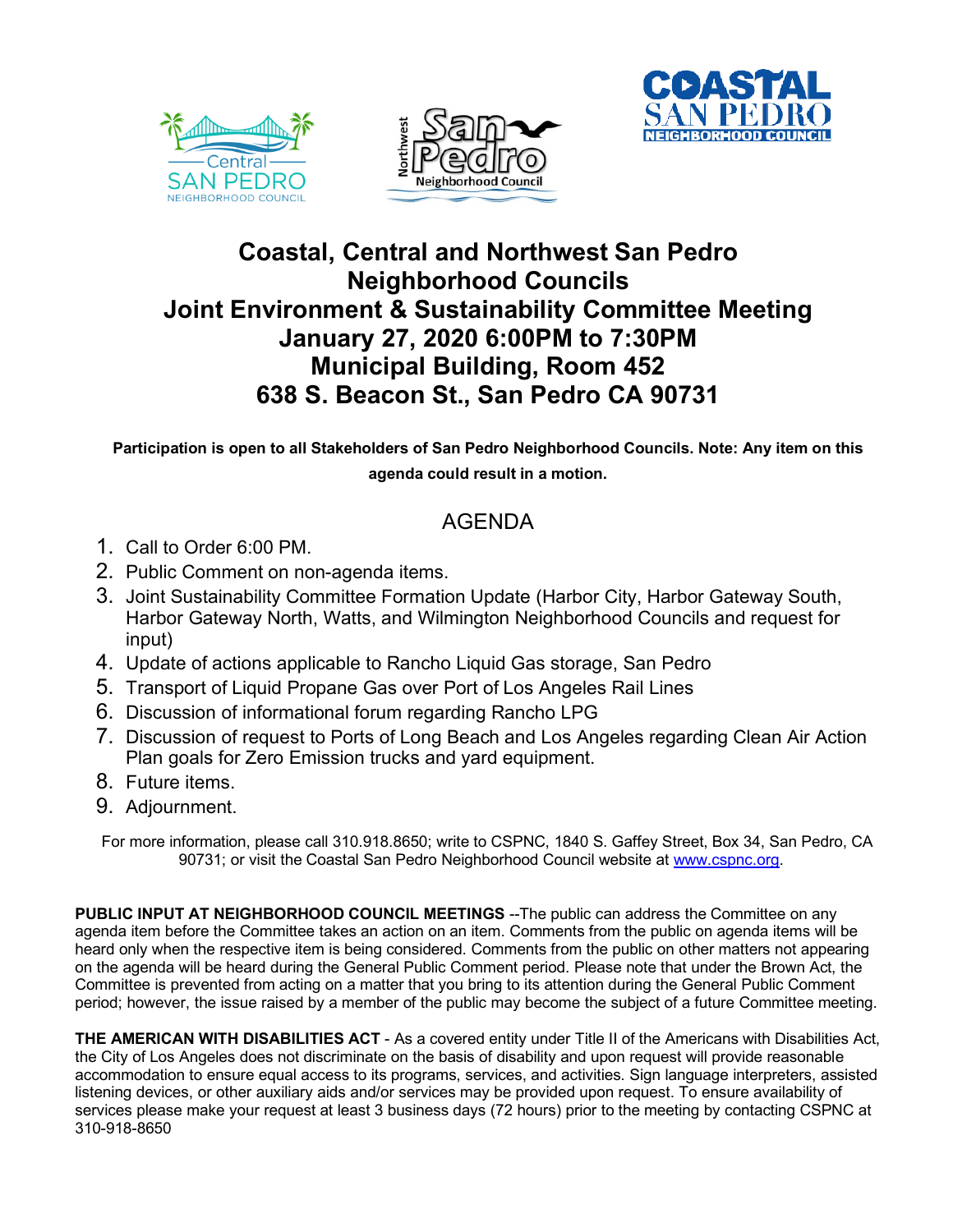





## **Coastal, Central and Northwest San Pedro Neighborhood Councils Joint Environment & Sustainability Committee Meeting January 27, 2020 6:00PM to 7:30PM Municipal Building, Room 452 638 S. Beacon St., San Pedro CA 90731**

**Participation is open to all Stakeholders of San Pedro Neighborhood Councils. Note: Any item on this agenda could result in a motion.**

## AGENDA

- 1. Call to Order 6:00 PM.
- 2. Public Comment on non-agenda items.
- 3. Joint Sustainability Committee Formation Update (Harbor City, Harbor Gateway South, Harbor Gateway North, Watts, and Wilmington Neighborhood Councils and request for input)
- 4. Update of actions applicable to Rancho Liquid Gas storage, San Pedro
- 5. Transport of Liquid Propane Gas over Port of Los Angeles Rail Lines
- 6. Discussion of informational forum regarding Rancho LPG
- 7. Discussion of request to Ports of Long Beach and Los Angeles regarding Clean Air Action Plan goals for Zero Emission trucks and yard equipment.
- 8. Future items.
- 9. Adjournment.

For more information, please call 310.918.8650; write to CSPNC, 1840 S. Gaffey Street, Box 34, San Pedro, CA 90731; or visit the Coastal San Pedro Neighborhood Council website at www.cspnc.org.

**PUBLIC INPUT AT NEIGHBORHOOD COUNCIL MEETINGS** --The public can address the Committee on any agenda item before the Committee takes an action on an item. Comments from the public on agenda items will be heard only when the respective item is being considered. Comments from the public on other matters not appearing on the agenda will be heard during the General Public Comment period. Please note that under the Brown Act, the Committee is prevented from acting on a matter that you bring to its attention during the General Public Comment period; however, the issue raised by a member of the public may become the subject of a future Committee meeting.

**THE AMERICAN WITH DISABILITIES ACT** - As a covered entity under Title II of the Americans with Disabilities Act, the City of Los Angeles does not discriminate on the basis of disability and upon request will provide reasonable accommodation to ensure equal access to its programs, services, and activities. Sign language interpreters, assisted listening devices, or other auxiliary aids and/or services may be provided upon request. To ensure availability of services please make your request at least 3 business days (72 hours) prior to the meeting by contacting CSPNC at 310-918-8650